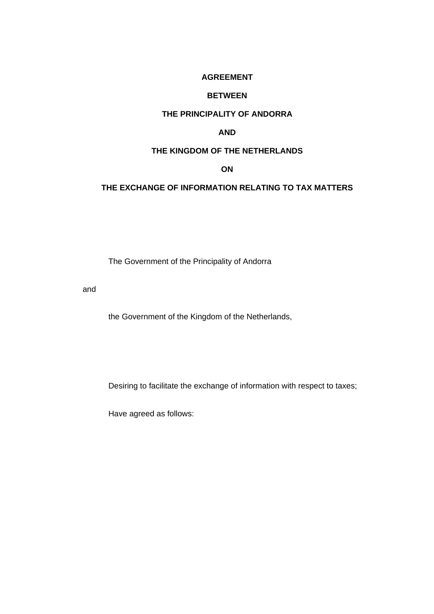## **AGREEMENT**

### **BETWEEN**

## **THE PRINCIPALITY OF ANDORRA**

## **AND**

## **THE KINGDOM OF THE NETHERLANDS**

#### **ON**

## **THE EXCHANGE OF INFORMATION RELATING TO TAX MATTERS**

The Government of the Principality of Andorra

and

the Government of the Kingdom of the Netherlands,

Desiring to facilitate the exchange of information with respect to taxes;

Have agreed as follows: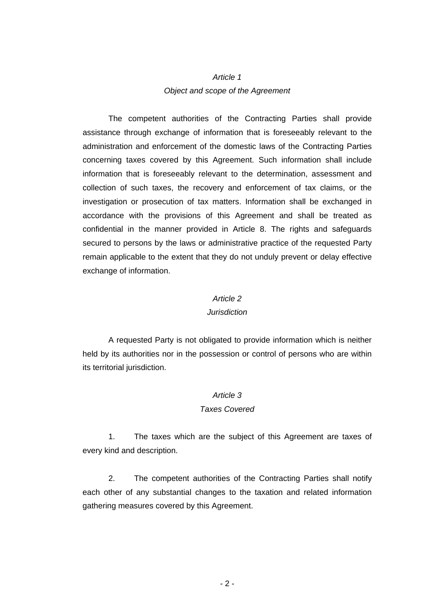# *Article 1 Object and scope of the Agreement*

The competent authorities of the Contracting Parties shall provide assistance through exchange of information that is foreseeably relevant to the administration and enforcement of the domestic laws of the Contracting Parties concerning taxes covered by this Agreement. Such information shall include information that is foreseeably relevant to the determination, assessment and collection of such taxes, the recovery and enforcement of tax claims, or the investigation or prosecution of tax matters. Information shall be exchanged in accordance with the provisions of this Agreement and shall be treated as confidential in the manner provided in Article 8. The rights and safeguards secured to persons by the laws or administrative practice of the requested Party remain applicable to the extent that they do not unduly prevent or delay effective exchange of information.

#### *Article 2*

#### *Jurisdiction*

A requested Party is not obligated to provide information which is neither held by its authorities nor in the possession or control of persons who are within its territorial jurisdiction.

#### *Article 3*

#### *Taxes Covered*

1. The taxes which are the subject of this Agreement are taxes of every kind and description.

2. The competent authorities of the Contracting Parties shall notify each other of any substantial changes to the taxation and related information gathering measures covered by this Agreement.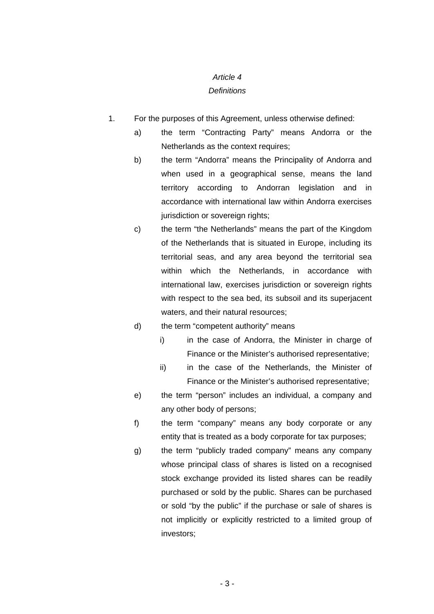## *Article 4*

## *Definitions*

- 1. For the purposes of this Agreement, unless otherwise defined:
	- a) the term "Contracting Party" means Andorra or the Netherlands as the context requires;
	- b) the term "Andorra" means the Principality of Andorra and when used in a geographical sense, means the land territory according to Andorran legislation and in accordance with international law within Andorra exercises jurisdiction or sovereign rights;
	- c) the term "the Netherlands" means the part of the Kingdom of the Netherlands that is situated in Europe, including its territorial seas, and any area beyond the territorial sea within which the Netherlands, in accordance with international law, exercises jurisdiction or sovereign rights with respect to the sea bed, its subsoil and its superjacent waters, and their natural resources;

## d) the term "competent authority" means

- i) in the case of Andorra, the Minister in charge of Finance or the Minister's authorised representative;
- ii) in the case of the Netherlands, the Minister of Finance or the Minister's authorised representative;
- e) the term "person" includes an individual, a company and any other body of persons;
- f) the term "company" means any body corporate or any entity that is treated as a body corporate for tax purposes;
- g) the term "publicly traded company" means any company whose principal class of shares is listed on a recognised stock exchange provided its listed shares can be readily purchased or sold by the public. Shares can be purchased or sold "by the public" if the purchase or sale of shares is not implicitly or explicitly restricted to a limited group of investors;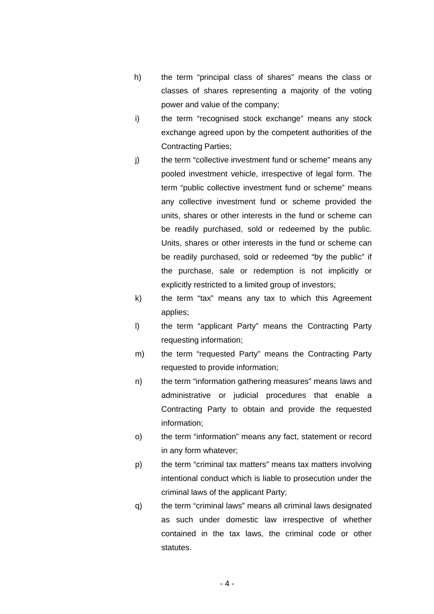- h) the term "principal class of shares" means the class or classes of shares representing a majority of the voting power and value of the company;
- i) the term "recognised stock exchange" means any stock exchange agreed upon by the competent authorities of the Contracting Parties;
- j) the term "collective investment fund or scheme" means any pooled investment vehicle, irrespective of legal form. The term "public collective investment fund or scheme" means any collective investment fund or scheme provided the units, shares or other interests in the fund or scheme can be readily purchased, sold or redeemed by the public. Units, shares or other interests in the fund or scheme can be readily purchased, sold or redeemed "by the public" if the purchase, sale or redemption is not implicitly or explicitly restricted to a limited group of investors;
- k) the term "tax" means any tax to which this Agreement applies;
- l) the term "applicant Party" means the Contracting Party requesting information;
- m) the term "requested Party" means the Contracting Party requested to provide information;
- n) the term "information gathering measures" means laws and administrative or judicial procedures that enable a Contracting Party to obtain and provide the requested information;
- o) the term "information" means any fact, statement or record in any form whatever;
- p) the term "criminal tax matters" means tax matters involving intentional conduct which is liable to prosecution under the criminal laws of the applicant Party;
- q) the term "criminal laws" means all criminal laws designated as such under domestic law irrespective of whether contained in the tax laws, the criminal code or other statutes.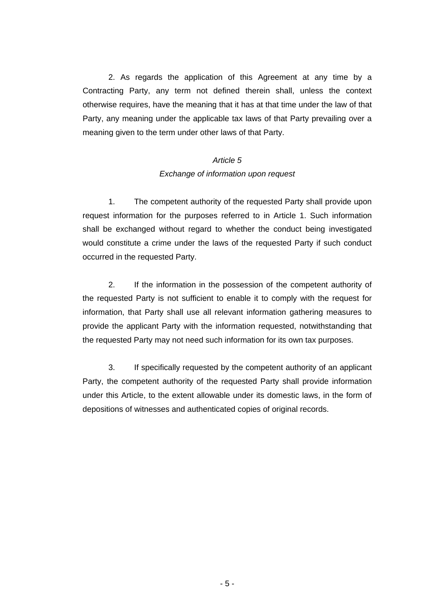2. As regards the application of this Agreement at any time by a Contracting Party, any term not defined therein shall, unless the context otherwise requires, have the meaning that it has at that time under the law of that Party, any meaning under the applicable tax laws of that Party prevailing over a meaning given to the term under other laws of that Party.

## *Article 5 Exchange of information upon request*

1. The competent authority of the requested Party shall provide upon request information for the purposes referred to in Article 1. Such information shall be exchanged without regard to whether the conduct being investigated would constitute a crime under the laws of the requested Party if such conduct occurred in the requested Party.

2. If the information in the possession of the competent authority of the requested Party is not sufficient to enable it to comply with the request for information, that Party shall use all relevant information gathering measures to provide the applicant Party with the information requested, notwithstanding that the requested Party may not need such information for its own tax purposes.

3. If specifically requested by the competent authority of an applicant Party, the competent authority of the requested Party shall provide information under this Article, to the extent allowable under its domestic laws, in the form of depositions of witnesses and authenticated copies of original records.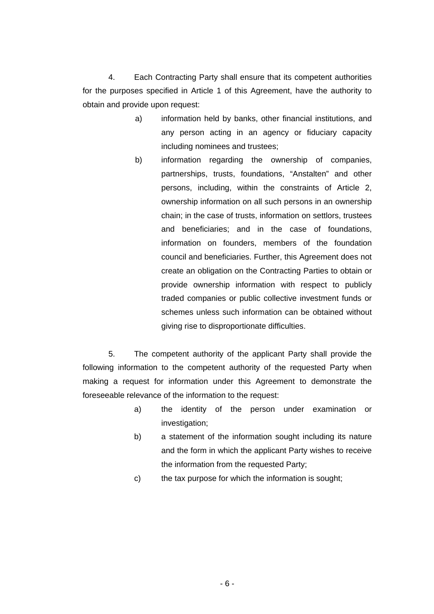4. Each Contracting Party shall ensure that its competent authorities for the purposes specified in Article 1 of this Agreement, have the authority to obtain and provide upon request:

- a) information held by banks, other financial institutions, and any person acting in an agency or fiduciary capacity including nominees and trustees;
- b) information regarding the ownership of companies, partnerships, trusts, foundations, "Anstalten" and other persons, including, within the constraints of Article 2, ownership information on all such persons in an ownership chain; in the case of trusts, information on settlors, trustees and beneficiaries; and in the case of foundations, information on founders, members of the foundation council and beneficiaries. Further, this Agreement does not create an obligation on the Contracting Parties to obtain or provide ownership information with respect to publicly traded companies or public collective investment funds or schemes unless such information can be obtained without giving rise to disproportionate difficulties.

5. The competent authority of the applicant Party shall provide the following information to the competent authority of the requested Party when making a request for information under this Agreement to demonstrate the foreseeable relevance of the information to the request:

- a) the identity of the person under examination or investigation;
- b) a statement of the information sought including its nature and the form in which the applicant Party wishes to receive the information from the requested Party;
- c) the tax purpose for which the information is sought;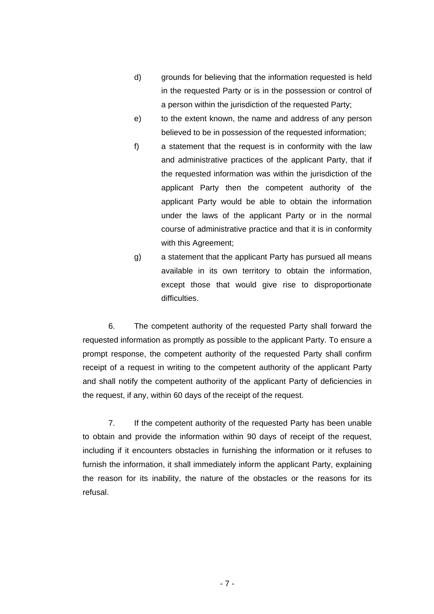- d) grounds for believing that the information requested is held in the requested Party or is in the possession or control of a person within the jurisdiction of the requested Party;
- e) to the extent known, the name and address of any person believed to be in possession of the requested information;
- f) a statement that the request is in conformity with the law and administrative practices of the applicant Party, that if the requested information was within the jurisdiction of the applicant Party then the competent authority of the applicant Party would be able to obtain the information under the laws of the applicant Party or in the normal course of administrative practice and that it is in conformity with this Agreement;
- g) a statement that the applicant Party has pursued all means available in its own territory to obtain the information, except those that would give rise to disproportionate difficulties.

6. The competent authority of the requested Party shall forward the requested information as promptly as possible to the applicant Party. To ensure a prompt response, the competent authority of the requested Party shall confirm receipt of a request in writing to the competent authority of the applicant Party and shall notify the competent authority of the applicant Party of deficiencies in the request, if any, within 60 days of the receipt of the request.

7. If the competent authority of the requested Party has been unable to obtain and provide the information within 90 days of receipt of the request, including if it encounters obstacles in furnishing the information or it refuses to furnish the information, it shall immediately inform the applicant Party, explaining the reason for its inability, the nature of the obstacles or the reasons for its refusal.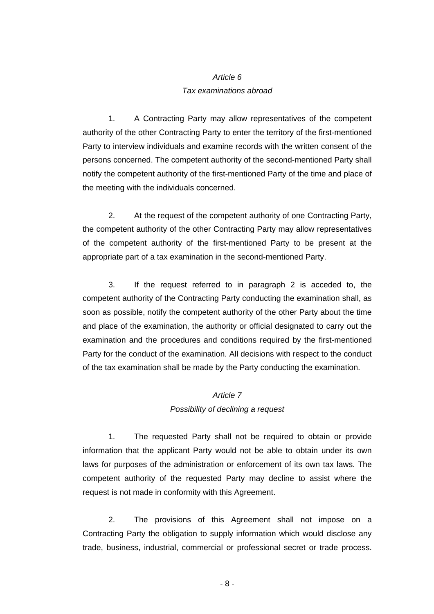# *Article 6*

## *Tax examinations abroad*

1. A Contracting Party may allow representatives of the competent authority of the other Contracting Party to enter the territory of the first-mentioned Party to interview individuals and examine records with the written consent of the persons concerned. The competent authority of the second-mentioned Party shall notify the competent authority of the first-mentioned Party of the time and place of the meeting with the individuals concerned.

2. At the request of the competent authority of one Contracting Party, the competent authority of the other Contracting Party may allow representatives of the competent authority of the first-mentioned Party to be present at the appropriate part of a tax examination in the second-mentioned Party.

3. If the request referred to in paragraph 2 is acceded to, the competent authority of the Contracting Party conducting the examination shall, as soon as possible, notify the competent authority of the other Party about the time and place of the examination, the authority or official designated to carry out the examination and the procedures and conditions required by the first-mentioned Party for the conduct of the examination. All decisions with respect to the conduct of the tax examination shall be made by the Party conducting the examination.

## *Article 7*

## *Possibility of declining a request*

1. The requested Party shall not be required to obtain or provide information that the applicant Party would not be able to obtain under its own laws for purposes of the administration or enforcement of its own tax laws. The competent authority of the requested Party may decline to assist where the request is not made in conformity with this Agreement.

2. The provisions of this Agreement shall not impose on a Contracting Party the obligation to supply information which would disclose any trade, business, industrial, commercial or professional secret or trade process.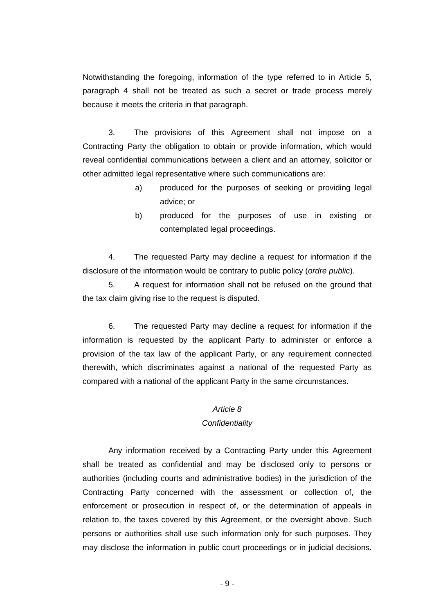Notwithstanding the foregoing, information of the type referred to in Article 5, paragraph 4 shall not be treated as such a secret or trade process merely because it meets the criteria in that paragraph.

3. The provisions of this Agreement shall not impose on a Contracting Party the obligation to obtain or provide information, which would reveal confidential communications between a client and an attorney, solicitor or other admitted legal representative where such communications are:

- a) produced for the purposes of seeking or providing legal advice; or
- b) produced for the purposes of use in existing or contemplated legal proceedings.

4. The requested Party may decline a request for information if the disclosure of the information would be contrary to public policy (*ordre public*).

5. A request for information shall not be refused on the ground that the tax claim giving rise to the request is disputed.

6. The requested Party may decline a request for information if the information is requested by the applicant Party to administer or enforce a provision of the tax law of the applicant Party, or any requirement connected therewith, which discriminates against a national of the requested Party as compared with a national of the applicant Party in the same circumstances.

## *Article 8*

## *Confidentiality*

Any information received by a Contracting Party under this Agreement shall be treated as confidential and may be disclosed only to persons or authorities (including courts and administrative bodies) in the jurisdiction of the Contracting Party concerned with the assessment or collection of, the enforcement or prosecution in respect of, or the determination of appeals in relation to, the taxes covered by this Agreement, or the oversight above. Such persons or authorities shall use such information only for such purposes. They may disclose the information in public court proceedings or in judicial decisions.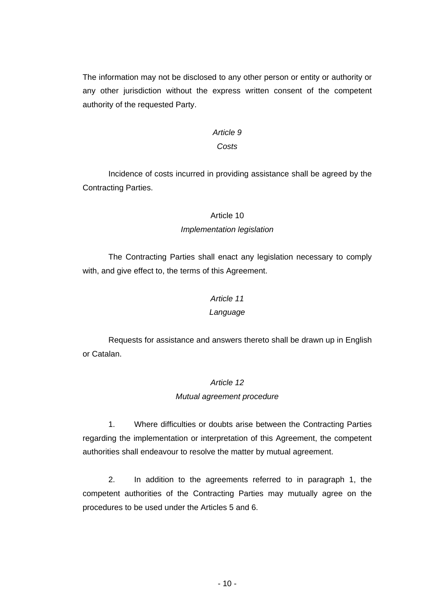The information may not be disclosed to any other person or entity or authority or any other jurisdiction without the express written consent of the competent authority of the requested Party.

## *Article 9*

## *Costs*

Incidence of costs incurred in providing assistance shall be agreed by the Contracting Parties.

## Article 10

## *Implementation legislation*

The Contracting Parties shall enact any legislation necessary to comply with, and give effect to, the terms of this Agreement.

## *Article 11*

#### *Language*

Requests for assistance and answers thereto shall be drawn up in English or Catalan.

## *Article 12*

#### *Mutual agreement procedure*

1. Where difficulties or doubts arise between the Contracting Parties regarding the implementation or interpretation of this Agreement, the competent authorities shall endeavour to resolve the matter by mutual agreement.

2. In addition to the agreements referred to in paragraph 1, the competent authorities of the Contracting Parties may mutually agree on the procedures to be used under the Articles 5 and 6.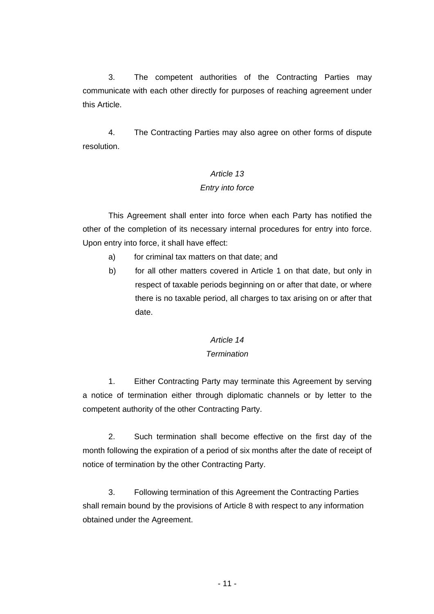3. The competent authorities of the Contracting Parties may communicate with each other directly for purposes of reaching agreement under this Article.

4. The Contracting Parties may also agree on other forms of dispute resolution.

# *Article 13 Entry into force*

This Agreement shall enter into force when each Party has notified the other of the completion of its necessary internal procedures for entry into force. Upon entry into force, it shall have effect:

- a) for criminal tax matters on that date; and
- b) for all other matters covered in Article 1 on that date, but only in respect of taxable periods beginning on or after that date, or where there is no taxable period, all charges to tax arising on or after that date.

## *Article 14 Termination*

1. Either Contracting Party may terminate this Agreement by serving a notice of termination either through diplomatic channels or by letter to the competent authority of the other Contracting Party.

2. Such termination shall become effective on the first day of the month following the expiration of a period of six months after the date of receipt of notice of termination by the other Contracting Party.

3. Following termination of this Agreement the Contracting Parties shall remain bound by the provisions of Article 8 with respect to any information obtained under the Agreement.